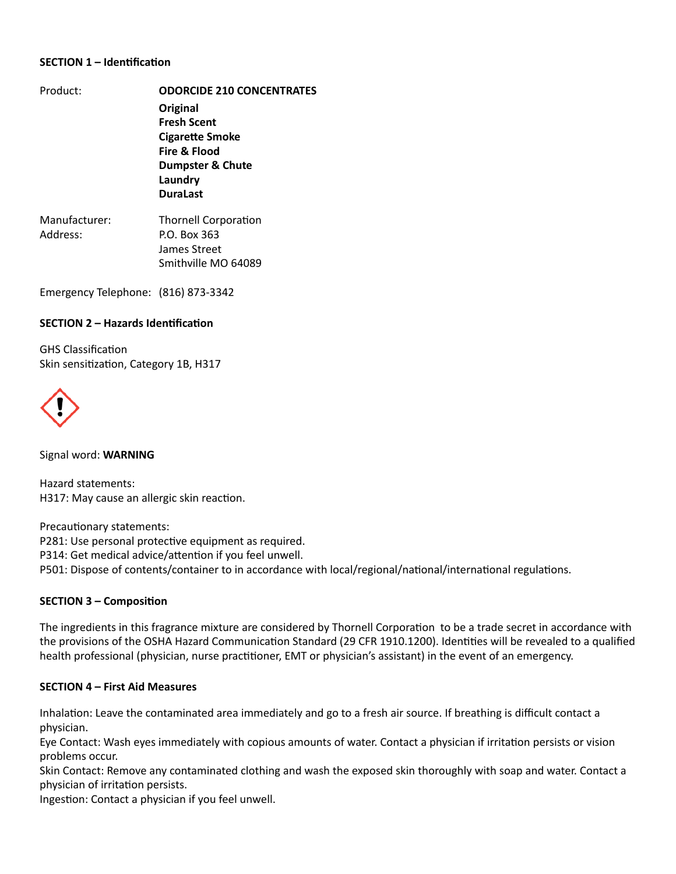### **SECTION 1 – Identification**

| Product: | <b>ODORCIDE 210 CONCENTRATES</b>       |                             |
|----------|----------------------------------------|-----------------------------|
|          | Original                               |                             |
|          | <b>Fresh Scent</b>                     |                             |
|          | <b>Cigarette Smoke</b><br>Fire & Flood |                             |
|          |                                        |                             |
|          | Laundry                                |                             |
|          | <b>DuraLast</b>                        |                             |
|          | Manufacturer:                          | <b>Thornell Corporation</b> |
| Address: | P.O. Box 363                           |                             |
|          | James Street                           |                             |

Smithville MO 64089

Emergency Telephone: (816) 873-3342

### **SECTION 2 - Hazards Identification**

**GHS Classification** Skin sensitization, Category 1B, H317



Signal word: **WARNING**

Hazard statements: H317: May cause an allergic skin reaction.

Precautionary statements: P281: Use personal protective equipment as required. P314: Get medical advice/attention if you feel unwell. P501: Dispose of contents/container to in accordance with local/regional/national/international regulations.

## **SECTION 3 - Composition**

The ingredients in this fragrance mixture are considered by Thornell Corporation to be a trade secret in accordance with the provisions of the OSHA Hazard Communication Standard (29 CFR 1910.1200). Identities will be revealed to a qualified health professional (physician, nurse practitioner, EMT or physician's assistant) in the event of an emergency.

#### **SECTION 4 - First Aid Measures**

Inhalation: Leave the contaminated area immediately and go to a fresh air source. If breathing is difficult contact a physician.

Eye Contact: Wash eyes immediately with copious amounts of water. Contact a physician if irritation persists or vision problems occur.

Skin Contact: Remove any contaminated clothing and wash the exposed skin thoroughly with soap and water. Contact a physician of irritation persists.

Ingestion: Contact a physician if you feel unwell.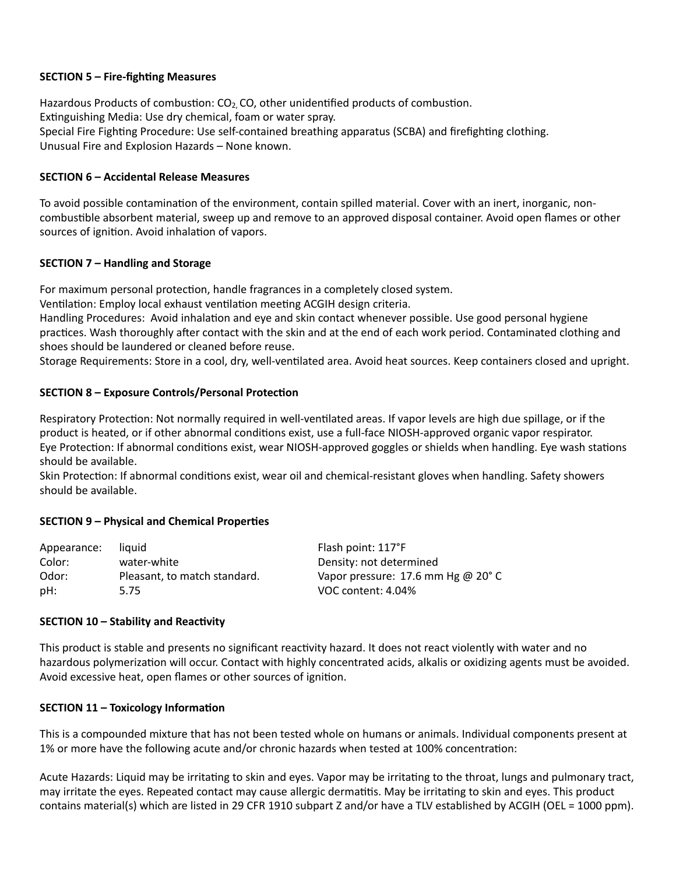## **SECTION 5 - Fire-fighting Measures**

Hazardous Products of combustion:  $CO<sub>2</sub>$ , CO, other unidentified products of combustion. Extinguishing Media: Use dry chemical, foam or water spray. Special Fire Fighting Procedure: Use self-contained breathing apparatus (SCBA) and firefighting clothing. Unusual Fire and Explosion Hazards – None known.

## **SECTION 6 - Accidental Release Measures**

To avoid possible contamination of the environment, contain spilled material. Cover with an inert, inorganic, noncombustible absorbent material, sweep up and remove to an approved disposal container. Avoid open flames or other sources of ignition. Avoid inhalation of vapors.

# **SECTION 7 - Handling and Storage**

For maximum personal protection, handle fragrances in a completely closed system.

Ventilation: Employ local exhaust ventilation meeting ACGIH design criteria.

Handling Procedures: Avoid inhalation and eye and skin contact whenever possible. Use good personal hygiene practices. Wash thoroughly after contact with the skin and at the end of each work period. Contaminated clothing and shoes should be laundered or cleaned before reuse.

Storage Requirements: Store in a cool, dry, well-ventilated area. Avoid heat sources. Keep containers closed and upright.

# **SECTION 8 – Exposure Controls/Personal Protection**

Respiratory Protection: Not normally required in well-ventilated areas. If vapor levels are high due spillage, or if the product is heated, or if other abnormal conditions exist, use a full-face NIOSH-approved organic vapor respirator. Eye Protection: If abnormal conditions exist, wear NIOSH-approved goggles or shields when handling. Eye wash stations should be available.

Skin Protection: If abnormal conditions exist, wear oil and chemical-resistant gloves when handling. Safety showers should be available.

# **SECTION 9 - Physical and Chemical Properties**

| Appearance: | liauid                       | Flash point: 117°F                          |
|-------------|------------------------------|---------------------------------------------|
| Color:      | water-white                  | Density: not determined                     |
| Odor:       | Pleasant, to match standard. | Vapor pressure: 17.6 mm Hg @ $20^{\circ}$ C |
| pH:         | 5.75                         | VOC content: 4.04%                          |

## **SECTION 10 - Stability and Reactivity**

This product is stable and presents no significant reactivity hazard. It does not react violently with water and no hazardous polymerization will occur. Contact with highly concentrated acids, alkalis or oxidizing agents must be avoided. Avoid excessive heat, open flames or other sources of ignition.

## **SECTION 11 - Toxicology Information**

This is a compounded mixture that has not been tested whole on humans or animals. Individual components present at 1% or more have the following acute and/or chronic hazards when tested at 100% concentration:

Acute Hazards: Liquid may be irritating to skin and eyes. Vapor may be irritating to the throat, lungs and pulmonary tract, may irritate the eyes. Repeated contact may cause allergic dermatitis. May be irritating to skin and eyes. This product contains material(s) which are listed in 29 CFR 1910 subpart Z and/or have a TLV established by ACGIH (OEL = 1000 ppm).